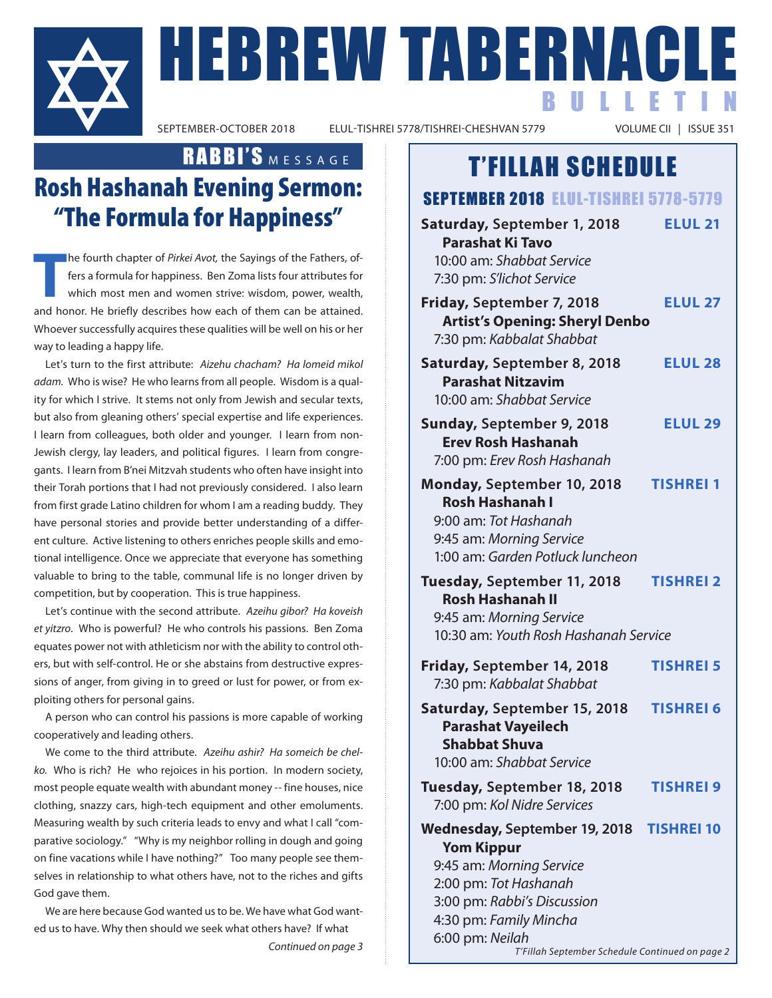

**FIEBREW TABERNACLE** ELUL-TISHREI 5778/TISHREI-CHESHVAN 5779

BULLETIN

### RABBI'S MESSAGE

## Rosh Hashanah Evening Sermon: "The Formula for Happiness"

**T** he fourth chapter of *Pirkei Avot,* the Sayings of the Fathers, offers a formula for happiness. Ben Zoma lists four attributes for which most men and women strive: wisdom, power, wealth, and honor. He briefly describes how each of them can be attained. Whoever successfully acquires these qualities will be well on his or her way to leading a happy life.

Let's turn to the first attribute: *Aizehu chacham? Ha lomeid mikol adam.* Who is wise? He who learns from all people. Wisdom is a quality for which I strive. It stems not only from Jewish and secular texts, but also from gleaning others' special expertise and life experiences. I learn from colleagues, both older and younger. I learn from non-Jewish clergy, lay leaders, and political figures. I learn from congregants. I learn from B'nei Mitzvah students who often have insight into their Torah portions that I had not previously considered. I also learn from first grade Latino children for whom I am a reading buddy. They have personal stories and provide better understanding of a different culture. Active listening to others enriches people skills and emotional intelligence. Once we appreciate that everyone has something valuable to bring to the table, communal life is no longer driven by competition, but by cooperation. This is true happiness.

Let's continue with the second attribute. *Azeihu gibor? Ha koveish et yitzro*. Who is powerful? He who controls his passions. Ben Zoma equates power not with athleticism nor with the ability to control others, but with self-control. He or she abstains from destructive expressions of anger, from giving in to greed or lust for power, or from exploiting others for personal gains.

A person who can control his passions is more capable of working cooperatively and leading others.

We come to the third attribute. *Azeihu ashir? Ha someich be chelko.* Who is rich? He who rejoices in his portion. In modern society, most people equate wealth with abundant money -- fine houses, nice clothing, snazzy cars, high-tech equipment and other emoluments. Measuring wealth by such criteria leads to envy and what I call "comparative sociology." "Why is my neighbor rolling in dough and going on fine vacations while I have nothing?" Too many people see themselves in relationship to what others have, not to the riches and gifts God gave them.

We are here because God wanted us to be. We have what God wanted us to have. Why then should we seek what others have? If what

### T'FILLAH SCHEDULE

### SEPTEMBER 2018 ELUL-TISHREI 5778-5779

| Saturday, September 1, 2018<br><b>Parashat Ki Tavo</b><br>10:00 am: Shabbat Service<br>7:30 pm: S'lichot Service                                                                                                                       | <b>ELUL 21</b>    |
|----------------------------------------------------------------------------------------------------------------------------------------------------------------------------------------------------------------------------------------|-------------------|
| Friday, September 7, 2018<br><b>Artist's Opening: Sheryl Denbo</b><br>7:30 pm: Kabbalat Shabbat                                                                                                                                        | <b>ELUL 27</b>    |
| Saturday, September 8, 2018<br><b>Parashat Nitzavim</b><br>10:00 am: Shabbat Service                                                                                                                                                   | <b>ELUL 28</b>    |
| Sunday, September 9, 2018<br><b>Erev Rosh Hashanah</b><br>7:00 pm: Erev Rosh Hashanah                                                                                                                                                  | <b>ELUL 29</b>    |
| Monday, September 10, 2018<br><b>Rosh Hashanah I</b><br>9:00 am: Tot Hashanah<br>9:45 am: Morning Service<br>1:00 am: Garden Potluck luncheon                                                                                          | <b>TISHREI 1</b>  |
| Tuesday, September 11, 2018<br><b>Rosh Hashanah II</b><br>9:45 am: Morning Service<br>10:30 am: Youth Rosh Hashanah Service                                                                                                            | <b>TISHREI 2</b>  |
| Friday, September 14, 2018<br>7:30 pm: Kabbalat Shabbat                                                                                                                                                                                | <b>TISHREI 5</b>  |
| Saturday, September 15, 2018<br><b>Parashat Vayeilech</b><br><b>Shabbat Shuva</b><br>10:00 am: Shabbat Service                                                                                                                         | <b>TISHREI 6</b>  |
| Tuesday, September 18, 2018<br>7:00 pm: Kol Nidre Services                                                                                                                                                                             | <b>TISHREI 9</b>  |
| Wednesday, September 19, 2018<br><b>Yom Kippur</b><br>9:45 am: Morning Service<br>2:00 pm: Tot Hashanah<br>3:00 pm: Rabbi's Discussion<br>4:30 pm: Family Mincha<br>6:00 pm: Neilah<br>T'Fillah September Schedule Continued on page 2 | <b>TISHREI 10</b> |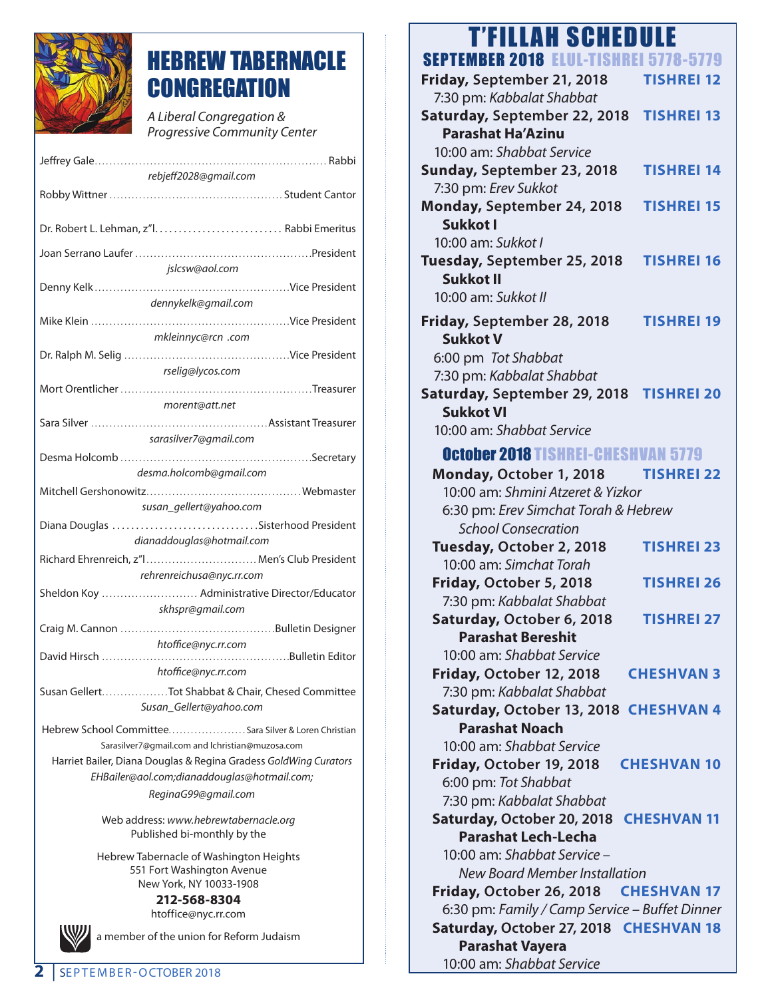

### HEBREW TABERNACLE **CONGREGATION**

*A Liberal Congregation & Progressive Community Center* 

| rebjeff2028@gmail.com                                            |  |
|------------------------------------------------------------------|--|
|                                                                  |  |
|                                                                  |  |
| jslcsw@aol.com                                                   |  |
|                                                                  |  |
| dennykelk@gmail.com                                              |  |
|                                                                  |  |
| mkleinnyc@rcn .com                                               |  |
|                                                                  |  |
| rselig@lycos.com                                                 |  |
|                                                                  |  |
| morent@att.net                                                   |  |
|                                                                  |  |
|                                                                  |  |
| sarasilver7@gmail.com                                            |  |
|                                                                  |  |
| desma.holcomb@gmail.com                                          |  |
|                                                                  |  |
| susan gellert@yahoo.com                                          |  |
| Diana Douglas Sisterhood President                               |  |
| dianaddouglas@hotmail.com                                        |  |
| Richard Ehrenreich, z"I Men's Club President                     |  |
| rehrenreichusa@nyc.rr.com                                        |  |
| Sheldon Koy  Administrative Director/Educator                    |  |
| skhspr@gmail.com                                                 |  |
|                                                                  |  |
|                                                                  |  |
| htoffice@nyc.rr.com                                              |  |
| htoffice@nyc.rr.com                                              |  |
|                                                                  |  |
| Susan GellertTot Shabbat & Chair, Chesed Committee               |  |
| Susan_Gellert@yahoo.com                                          |  |
| Hebrew School Committee Sara Silver & Loren Christian            |  |
| Sarasilver7@gmail.com and lchristian@muzosa.com                  |  |
| Harriet Bailer, Diana Douglas & Regina Gradess GoldWing Curators |  |
| EHBailer@aol.com;dianaddouglas@hotmail.com;                      |  |
|                                                                  |  |
| ReginaG99@gmail.com                                              |  |
| Web address: www.hebrewtabernacle.org                            |  |
| Published bi-monthly by the                                      |  |
|                                                                  |  |
| Hebrew Tabernacle of Washington Heights                          |  |

551 Fort Washington Avenue New York, NY 10033-1908

**212-568-8304** htoffice@nyc.rr.com



a member of the union for Reform Judaism

### T'FILLAH SCHEDULE

| <b>SEPTEMBER 2018 ELUL-TISH</b><br>5778-5779      |
|---------------------------------------------------|
| Friday, September 21, 2018<br><b>TISHREI 12</b>   |
| 7:30 pm: Kabbalat Shabbat                         |
| Saturday, September 22, 2018<br><b>TISHREI 13</b> |
| <b>Parashat Ha'Azinu</b>                          |
| 10:00 am: Shabbat Service                         |
| <b>TISHREI 14</b><br>Sunday, September 23, 2018   |
| 7:30 pm: Erev Sukkot                              |
| Monday, September 24, 2018<br><b>TISHREI 15</b>   |
| Sukkot I                                          |
| 10:00 am: Sukkot I                                |
| Tuesday, September 25, 2018<br><b>TISHREI 16</b>  |
| <b>Sukkot II</b>                                  |
| 10:00 am: Sukkot II                               |
| Friday, September 28, 2018<br><b>TISHREI 19</b>   |
| <b>Sukkot V</b>                                   |
| 6:00 pm Tot Shabbat                               |
| 7:30 pm: Kabbalat Shabbat                         |
| Saturday, September 29, 2018<br><b>TISHREI 20</b> |
| <b>Sukkot VI</b>                                  |
| 10:00 am: Shabbat Service                         |
| <b>October 2018 TISHREI-CHESHVAN 5779</b>         |
| Monday, October 1, 2018<br><b>TISHREI 22</b>      |
| 10:00 am: Shmini Atzeret & Yizkor                 |
| 6:30 pm: Erev Simchat Torah & Hebrew              |
| <b>School Consecration</b>                        |
| Tuesday, October 2, 2018<br><b>TISHREI 23</b>     |
| 10:00 am: Simchat Torah                           |
| Friday, October 5, 2018<br><b>TISHREI 26</b>      |
| 7:30 pm: Kabbalat Shabbat                         |
| Saturday, October 6, 2018<br><b>TISHREI 27</b>    |
| <b>Parashat Bereshit</b>                          |
| 10:00 am: Shabbat Service                         |
| Friday, October 12, 2018<br><b>CHESHVAN 3</b>     |
| 7:30 pm: Kabbalat Shabbat                         |
| Saturday, October 13, 2018 CHESHVAN 4             |
| <b>Parashat Noach</b>                             |
| 10:00 am: Shabbat Service                         |
| Friday, October 19, 2018<br><b>CHESHVAN 10</b>    |
| 6:00 pm: Tot Shabbat                              |
| 7:30 pm: Kabbalat Shabbat                         |
| Saturday, October 20, 2018<br><b>CHESHVAN 11</b>  |
| <b>Parashat Lech-Lecha</b>                        |
| 10:00 am: Shabbat Service -                       |
| <b>New Board Member Installation</b>              |
| Friday, October 26, 2018 CHESHVAN 17              |
| 6:30 pm: Family / Camp Service - Buffet Dinner    |
| Saturday, October 27, 2018 CHESHVAN 18            |
| <b>Parashat Vayera</b>                            |
| 10:00 am: Shabbat Service                         |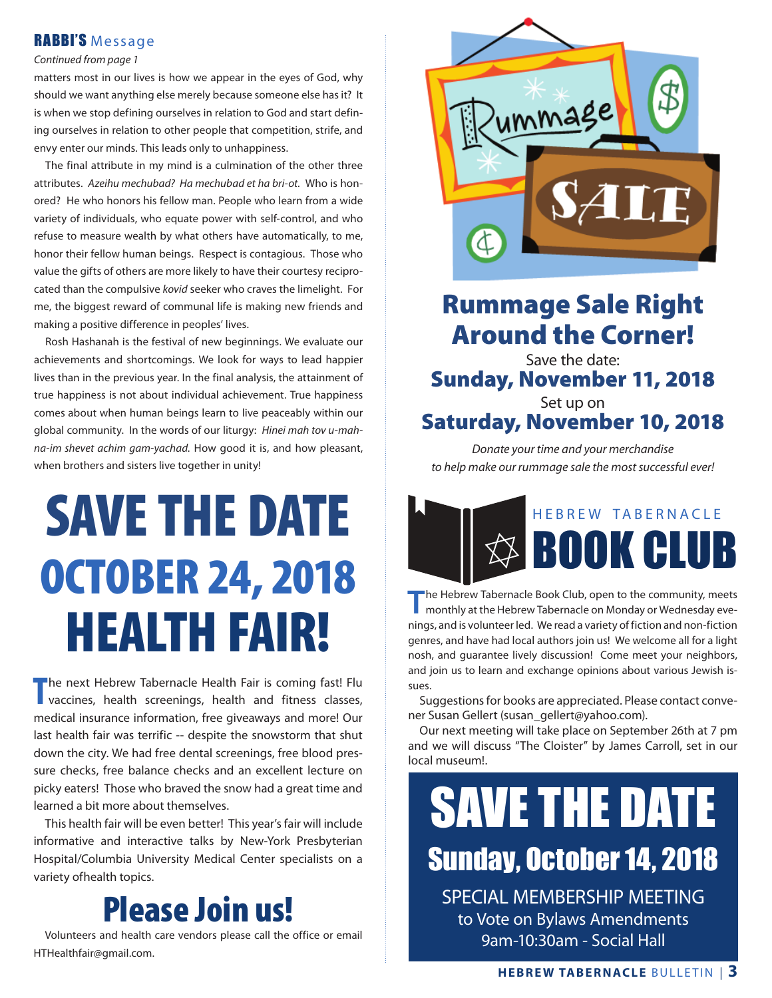### RABBI'S Message

#### *Continued from page 1*

matters most in our lives is how we appear in the eyes of God, why should we want anything else merely because someone else has it? It is when we stop defining ourselves in relation to God and start defining ourselves in relation to other people that competition, strife, and envy enter our minds. This leads only to unhappiness.

 The final attribute in my mind is a culmination of the other three attributes. *Azeihu mechubad? Ha mechubad et ha bri-ot.* Who is honored? He who honors his fellow man. People who learn from a wide variety of individuals, who equate power with self-control, and who refuse to measure wealth by what others have automatically, to me, honor their fellow human beings. Respect is contagious. Those who value the gifts of others are more likely to have their courtesy reciprocated than the compulsive *kovid* seeker who craves the limelight. For me, the biggest reward of communal life is making new friends and making a positive difference in peoples' lives.

 Rosh Hashanah is the festival of new beginnings. We evaluate our achievements and shortcomings. We look for ways to lead happier lives than in the previous year. In the final analysis, the attainment of true happiness is not about individual achievement. True happiness comes about when human beings learn to live peaceably within our global community. In the words of our liturgy: *Hinei mah tov u-mahna-im shevet achim gam-yachad.* How good it is, and how pleasant, when brothers and sisters live together in unity!

# SAVE THE DATE OCTOBER 24, 2018 HEALTH FAIR!

The next Hebrew Tabernacle Health Fair is coming fast! Flu<br>
vaccines, health screenings, health and fitness classes, vaccines, health screenings, health and fitness classes, medical insurance information, free giveaways and more! Our last health fair was terrific -- despite the snowstorm that shut down the city. We had free dental screenings, free blood pressure checks, free balance checks and an excellent lecture on picky eaters! Those who braved the snow had a great time and learned a bit more about themselves.

 This health fair will be even better! This year's fair will include informative and interactive talks by New-York Presbyterian Hospital/Columbia University Medical Center specialists on a variety ofhealth topics.

## Please Join us!

 Volunteers and health care vendors please call the office or email HTHealthfair@gmail.com.



### Rummage Sale Right Around the Corner!

Save the date: Sunday, November 11, 2018

### Set up on Saturday, November 10, 2018

*Donate your time and your merchandise to help make our rummage sale the most successful ever!*



**The Hebrew Tabernacle Book Club, open to the community, meets monthly at the Hebrew Tabernacle on Monday or Wednesday eve**nings, and is volunteer led. We read a variety of fiction and non-fiction genres, and have had local authors join us! We welcome all for a light nosh, and guarantee lively discussion! Come meet your neighbors, and join us to learn and exchange opinions about various Jewish issues.

 Suggestions for books are appreciated. Please contact convener Susan Gellert (susan\_gellert@yahoo.com).

 Our next meeting will take place on September 26th at 7 pm and we will discuss "The Cloister" by James Carroll, set in our local museum!.

# SAVE THE DATE Sunday, October 14, 2018 SPECIAL MEMBERSHIP MEETING

to Vote on Bylaws Amendments 9am-10:30am - Social Hall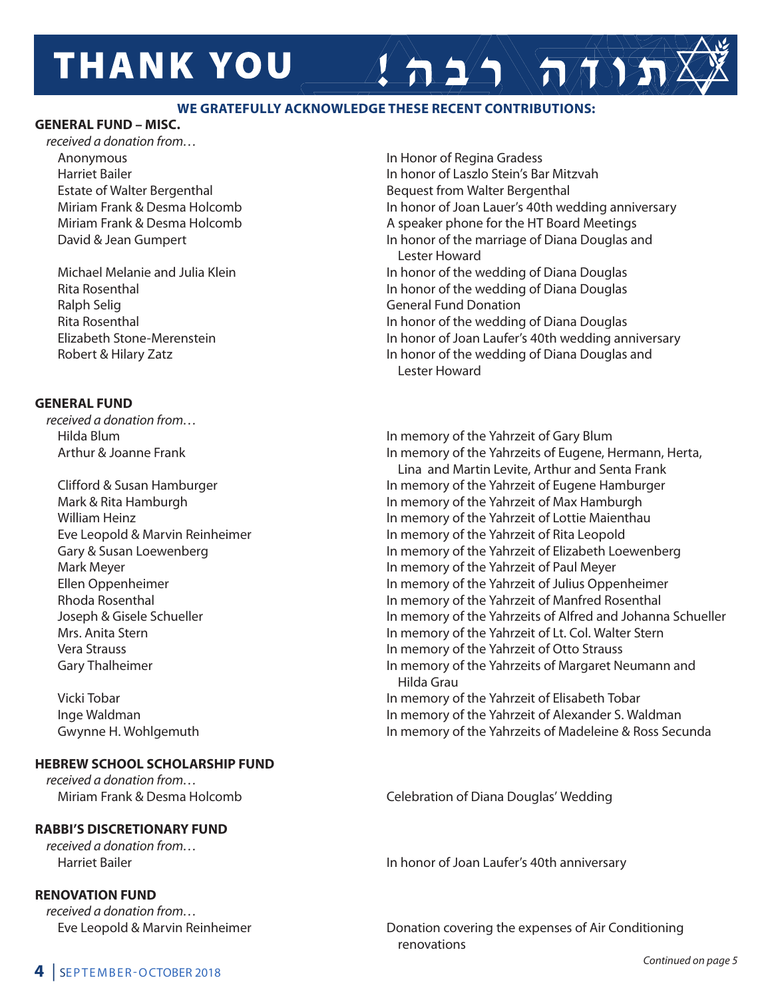# **THANK YOU**

### **WE GRATEFULLY ACKNOWLEDGE THESE RECENT CONTRIBUTIONS:**

### **GENERAL FUND – MISC.**

*received a donation from…* Anonymous In Honor of Regina Gradess

Ralph Selig General Fund Donation

### **GENERAL FUND**

*received a donation from…*

### **HEBREW SCHOOL SCHOLARSHIP FUND**

*received a donation from…*

### **RABBI'S DISCRETIONARY FUND**

*received a donation from…* 

### **RENOVATION FUND**

*received a donation from…*

 Harriet Bailer In honor of Laszlo Stein's Bar Mitzvah Estate of Walter Bergenthal **Bequest From Walter Bergenthal** Bequest from Walter Bergenthal Miriam Frank & Desma Holcomb In honor of Joan Lauer's 40th wedding anniversary Miriam Frank & Desma Holcomb **A** speaker phone for the HT Board Meetings David & Jean Gumpert **In honor of the marriage of Diana Douglas and**  Lester Howard Michael Melanie and Julia Klein In the View In honor of the wedding of Diana Douglas Rita Rosenthal **In honor of the wedding of Diana Douglas** In honor of the wedding of Diana Douglas Rita Rosenthal **In home of the wedding of Diana Douglas** In honor of the wedding of Diana Douglas Elizabeth Stone-Merenstein **In honor of Joan Laufer's 40th wedding anniversary** Robert & Hilary Zatz **In honor of the wedding of Diana Douglas and** 

 $A 22 \rightarrow \pi \rightarrow \pi$ 

Lester Howard

Hilda Blum **In memory of the Yahrzeit of Gary Blum** Arthur & Joanne Frank In memory of the Yahrzeits of Eugene, Hermann, Herta,

 Lina and Martin Levite, Arthur and Senta Frank Clifford & Susan Hamburger In memory of the Yahrzeit of Eugene Hamburger Mark & Rita Hamburgh **In memory of the Yahrzeit of Max Hamburgh** In memory of the Yahrzeit of Max Hamburgh William Heinz **In memory of the Yahrzeit of Lottie Maienthau**  Eve Leopold & Marvin Reinheimer In memory of the Yahrzeit of Rita Leopold Gary & Susan Loewenberg **In memory of the Yahrzeit of Elizabeth Loewenberg In memory of the Yahrzeit of Elizabeth Loewenberg** Mark Meyer **In memory of the Yahrzeit of Paul Meyer** In memory of the Yahrzeit of Paul Meyer Ellen Oppenheimer In memory of the Yahrzeit of Julius Oppenheimer Rhoda Rosenthal In memory of the Yahrzeit of Manfred Rosenthal Joseph & Gisele Schueller **In memory of the Yahrzeits of Alfred and Johanna Schueller** Mrs. Anita Stern **In the Value of Lettern In memory of the Yahrzeit of Lt. Col. Walter Stern**  Vera Strauss In memory of the Yahrzeit of Otto Strauss Gary Thalheimer **In memory of the Yahrzeits of Margaret Neumann and** Hilda Grau

 Vicki Tobar In memory of the Yahrzeit of Elisabeth Tobar Inge Waldman In memory of the Yahrzeit of Alexander S. Waldman Gwynne H. Wohlgemuth **In memory of the Yahrzeits of Madeleine & Ross Secunda** 

Miriam Frank & Desma Holcomb Celebration of Diana Douglas' Wedding

Harriet Bailer In honor of Joan Laufer's 40th anniversary

Eve Leopold & Marvin Reinheimer **Donation covering the expenses of Air Conditioning** renovations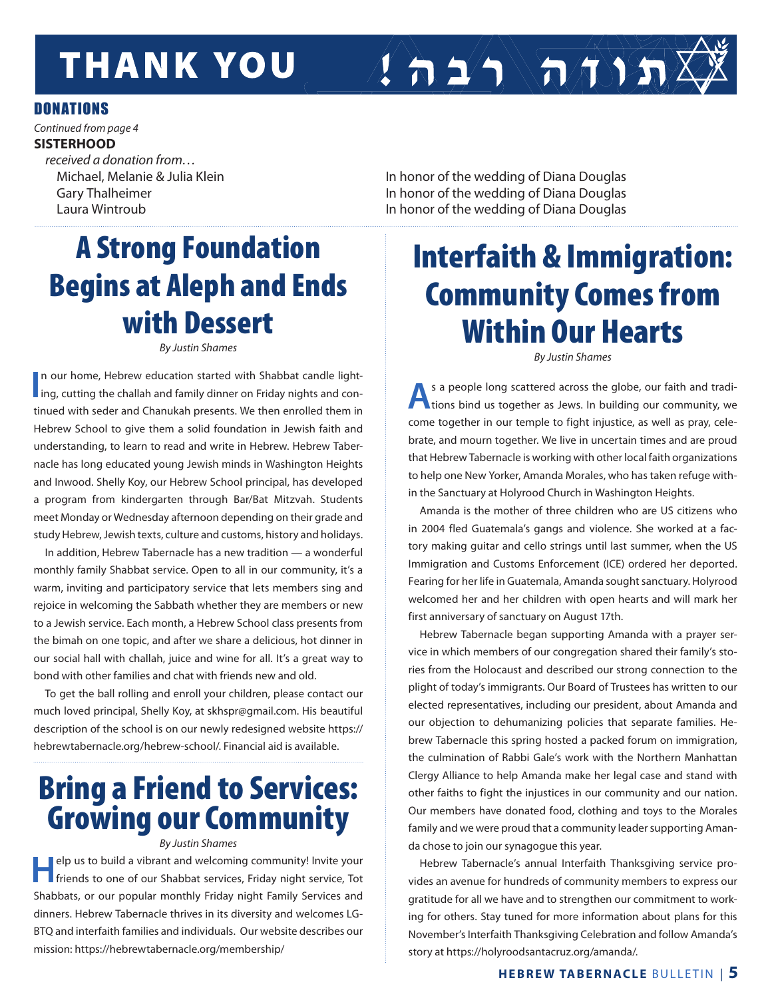# **THANK YOU**

### **DONATIONS**

*Continued from page 4* **SISTERHOOD** *received a donation from…*

Michael, Melanie & Julia Klein In the View In honor of the wedding of Diana Douglas Gary Thalheimer **In honor of the wedding of Diana Douglas** In honor of the wedding of Diana Douglas Laura Wintroub In honor of the wedding of Diana Douglas

 $\left( \left. \right. \right. \right)$   $\left( \left. \right. \right)$ 

# A Strong Foundation Begins at Aleph and Ends with Dessert

*By Justin Shames*

In our home, Hebrew education started with Shabbat candle light-<br>ing, cutting the challah and family dinner on Friday nights and conn our home, Hebrew education started with Shabbat candle lighttinued with seder and Chanukah presents. We then enrolled them in Hebrew School to give them a solid foundation in Jewish faith and understanding, to learn to read and write in Hebrew. Hebrew Tabernacle has long educated young Jewish minds in Washington Heights and Inwood. Shelly Koy, our Hebrew School principal, has developed a program from kindergarten through Bar/Bat Mitzvah. Students meet Monday or Wednesday afternoon depending on their grade and study Hebrew, Jewish texts, culture and customs, history and holidays.

In addition, Hebrew Tabernacle has a new tradition — a wonderful monthly family Shabbat service. Open to all in our community, it's a warm, inviting and participatory service that lets members sing and rejoice in welcoming the Sabbath whether they are members or new to a Jewish service. Each month, a Hebrew School class presents from the bimah on one topic, and after we share a delicious, hot dinner in our social hall with challah, juice and wine for all. It's a great way to bond with other families and chat with friends new and old.

To get the ball rolling and enroll your children, please contact our much loved principal, Shelly Koy, at skhspr@gmail.com. His beautiful description of the school is on our newly redesigned website https:// hebrewtabernacle.org/hebrew-school/. Financial aid is available.

## Bring a Friend to Services: Growing our Community

#### *By Justin Shames*

**Help us to build a vibrant and welcoming community! Invite your friends to one of our Shabbat services, Friday night service, Tot** Shabbats, or our popular monthly Friday night Family Services and dinners. Hebrew Tabernacle thrives in its diversity and welcomes LG-BTQ and interfaith families and individuals. Our website describes our mission: https://hebrewtabernacle.org/membership/

# Interfaith & Immigration: Community Comes from Within Our Hearts

*By Justin Shames*

**A** s a people long scattered across the globe, our faith and tradi-<br>tions bind us together as Jews. In building our community, we come together in our temple to fight injustice, as well as pray, celebrate, and mourn together. We live in uncertain times and are proud that Hebrew Tabernacle is working with other local faith organizations to help one New Yorker, Amanda Morales, who has taken refuge within the Sanctuary at Holyrood Church in Washington Heights.

Amanda is the mother of three children who are US citizens who in 2004 fled Guatemala's gangs and violence. She worked at a factory making guitar and cello strings until last summer, when the US Immigration and Customs Enforcement (ICE) ordered her deported. Fearing for her life in Guatemala, Amanda sought sanctuary. Holyrood welcomed her and her children with open hearts and will mark her first anniversary of sanctuary on August 17th.

Hebrew Tabernacle began supporting Amanda with a prayer service in which members of our congregation shared their family's stories from the Holocaust and described our strong connection to the plight of today's immigrants. Our Board of Trustees has written to our elected representatives, including our president, about Amanda and our objection to dehumanizing policies that separate families. Hebrew Tabernacle this spring hosted a packed forum on immigration, the culmination of Rabbi Gale's work with the Northern Manhattan Clergy Alliance to help Amanda make her legal case and stand with other faiths to fight the injustices in our community and our nation. Our members have donated food, clothing and toys to the Morales family and we were proud that a community leader supporting Amanda chose to join our synagogue this year.

Hebrew Tabernacle's annual Interfaith Thanksgiving service provides an avenue for hundreds of community members to express our gratitude for all we have and to strengthen our commitment to working for others. Stay tuned for more information about plans for this November's Interfaith Thanksgiving Celebration and follow Amanda's story at https://holyroodsantacruz.org/amanda/.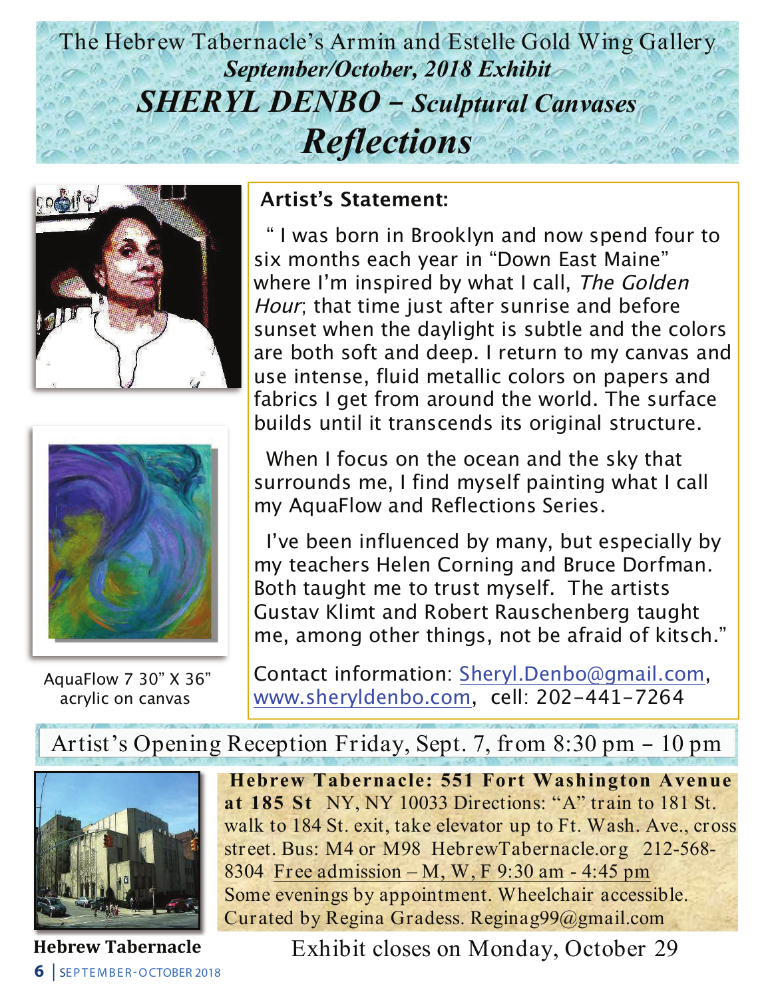## The Hebrew Tabernacle's Armin and Estelle Gold Wing Gallery The Hebrew Tabernacle's Armin and Estelle Gold Wing Gallery *September/October, 2018 Exhibit September/October, 2018 Exhibit SHERYL DENBO – Sculptural Canvases SHERYL DENBO – Sculptural Canvases Reflections Reflections*





AquaFlow 7  $30^{\circ}$  X  $36^{\circ}$ acrylic on canvas acrylic on canvas

### **Artist's Statement: Artist's Statement:**

 " I was born in Brooklyn and now spend four to " I was born in Brooklyn and now spend four to six months each year in "Down East Maine" six months each year in "Down East Maine" where I'm inspired by what I call, The Golden where I'm inspired by what I call, The Golden Hour; that time just after sunrise and before Hour; that time just after sunrise and before sunset when the daylight is subtle and the colors sunset when the daylight is subtle and the colors are both soft and deep. I return to my canvas and are both soft and deep. I return to my canvas and use intense, fluid metallic colors on papers and use intense, fluid metallic colors on papers and fabrics I get from around the world. The surface fabrics I get from around the world. The surface builds until it transcends its original structure. builds until it transcends its original structure.

 When I focus on the ocean and the sky that When I focus on the ocean and the sky that surrounds me, I find myself painting what I call surrounds me, I find myself painting what I call my AquaFlow and Reflections Series. my AquaFlow and Reflections Series.

 I've been influenced by many, but especially by I've been influenced by many, but especially by my teachers Helen Corning and Bruce Dorfman. my teachers Helen Corning and Bruce Dorfman. Both taught me to trust myself. The artists Both taught me to trust myself. The artists Gustav Klimt and Robert Rauschenberg taught Gustav Klimt and Robert Rauschenberg taught me, among other things, not be afraid of kitsch." me, among other things, not be afraid of kitsch."

Contact information: Sheryl.Denbo@gmail.com, Contact information: Sheryl.Denbo@gmail.com, www.sheryldenbo.com, cell: 202-441-7264 www.sheryldenbo.com, cell: 202-441-7264

Artist's Opening Reception Friday, Sept. 7, from 8:30 pm – 10 pm Artist's Opening Reception Friday, Sept. 7, from 8:30 pm – 10 pm



**6** | SEPTEMBER-OCTOBER 2018

**Hebrew Tabernacle: 551 Fort Washington Avenue Hebrew Tabernacle: 551 Fort Washington Avenue at 185 St** NY, NY 10033 Directions: "A" train to 181 St. **at 185 St** NY, NY 10033 Directions: "A" train to 181 St. walk to 184 St. exit, take elevator up to Ft. Wash. Ave., cross walk to 184 St. exit, take elevator up to Ft. Wash. Ave., cross street. Bus: M4 or M98 HebrewTabernacle.org 212-568- street. Bus: M4 or M98 HebrewTabernacle.org 212-568- 8304 Free admission – M, W, F 9:30 am - 4:45 pm 8304 Free admission – M, W, F 9:30 am - 4:45 pm Some evenings by appointment. Wheelchair accessible. Some evenings by appointment. Wheelchair accessible. Curated by Regina Gradess. Reginag99@gmail.com Curated by Regina Gradess. Reginag99@gmail.com

Hebrew Tabernacle Exhibit closes on Monday, October 29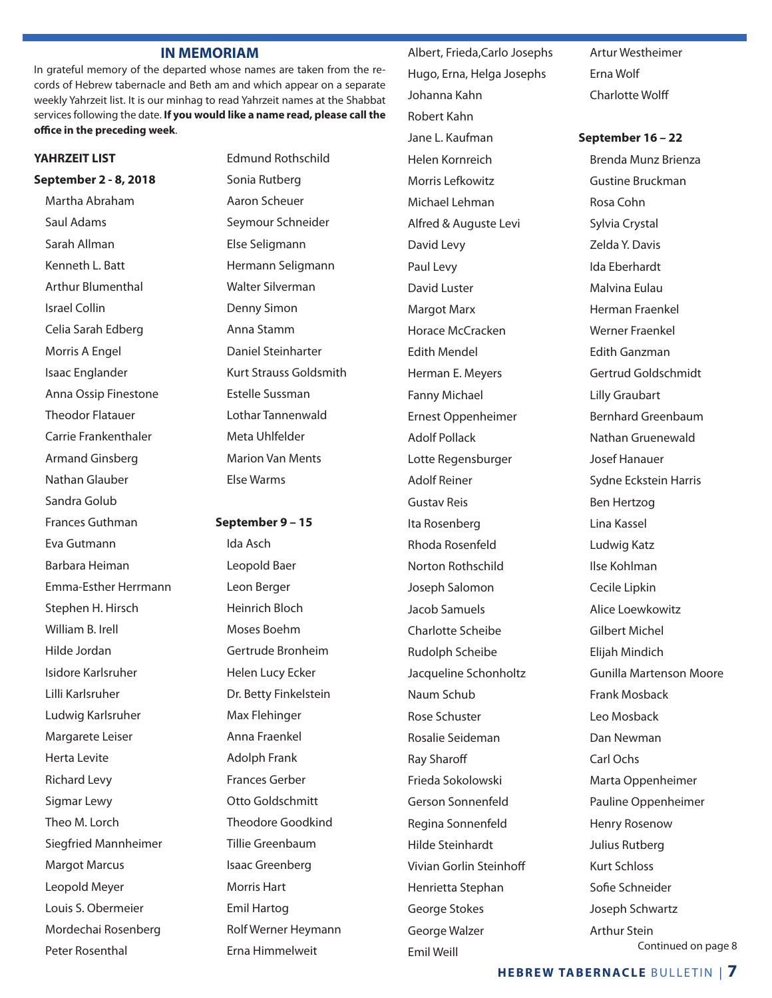#### **IN MEMORIAM**

In grateful memory of the departed whose names are taken from the records of Hebrew tabernacle and Beth am and which appear on a separate weekly Yahrzeit list. It is our minhag to read Yahrzeit names at the Shabbat services following the date. **If you would like a name read, please call the office in the preceding week**.

#### **YAHRZEIT LIST**

**September 2 - 8, 2018** Martha Abraham Saul Adams Sarah Allman Kenneth L. Batt Arthur Blumenthal Israel Collin Celia Sarah Edberg Morris A Engel Isaac Englander Anna Ossip Finestone Theodor Flatauer Carrie Frankenthaler Armand Ginsberg Nathan Glauber Sandra Golub Frances Guthman Eva Gutmann Barbara Heiman Emma-Esther Herrmann Stephen H. Hirsch William B. Irell Hilde Jordan Isidore Karlsruher Lilli Karlsruher Ludwig Karlsruher Margarete Leiser Herta Levite Richard Levy Sigmar Lewy Theo M. Lorch Siegfried Mannheimer Margot Marcus Leopold Meyer Louis S. Obermeier Mordechai Rosenberg Peter Rosenthal

Edmund Rothschild Sonia Rutberg Aaron Scheuer Seymour Schneider Else Seligmann Hermann Seligmann Walter Silverman Denny Simon Anna Stamm Daniel Steinharter Kurt Strauss Goldsmith Estelle Sussman Lothar Tannenwald Meta Uhlfelder Marion Van Ments Else Warms

**September 9 – 15** Ida Asch Leopold Baer Leon Berger Heinrich Bloch Moses Boehm Gertrude Bronheim Helen Lucy Ecker Dr. Betty Finkelstein Max Flehinger Anna Fraenkel Adolph Frank Frances Gerber Otto Goldschmitt Theodore Goodkind Tillie Greenbaum Isaac Greenberg Morris Hart Emil Hartog Rolf Werner Heymann Erna Himmelweit

 Hugo, Erna, Helga Josephs Johanna Kahn Robert Kahn Jane L. Kaufman Helen Kornreich Morris Lefkowitz Michael Lehman Alfred & Auguste Levi David Levy Paul Levy David Luster Margot Marx Horace McCracken Edith Mendel Herman E. Meyers Fanny Michael Ernest Oppenheimer Adolf Pollack Lotte Regensburger Adolf Reiner Gustav Reis Ita Rosenberg Rhoda Rosenfeld Norton Rothschild Joseph Salomon Jacob Samuels Charlotte Scheibe Rudolph Scheibe Jacqueline Schonholtz Naum Schub Rose Schuster Rosalie Seideman Ray Sharoff Frieda Sokolowski Gerson Sonnenfeld Regina Sonnenfeld Hilde Steinhardt Vivian Gorlin Steinhoff Henrietta Stephan George Stokes George Walzer Emil Weill

Albert, Frieda,Carlo Josephs

Artur Westheimer Erna Wolf Charlotte Wolff

**September 16 – 22** Brenda Munz Brienza Gustine Bruckman Rosa Cohn Sylvia Crystal Zelda Y. Davis Ida Eberhardt Malvina Eulau Herman Fraenkel Werner Fraenkel Edith Ganzman Gertrud Goldschmidt Lilly Graubart Bernhard Greenbaum Nathan Gruenewald Josef Hanauer Sydne Eckstein Harris Ben Hertzog Lina Kassel Ludwig Katz Ilse Kohlman Cecile Lipkin Alice Loewkowitz Gilbert Michel Elijah Mindich Gunilla Martenson Moore Frank Mosback Leo Mosback Dan Newman Carl Ochs Marta Oppenheimer Pauline Oppenheimer Henry Rosenow Julius Rutberg Kurt Schloss Sofie Schneider Joseph Schwartz Arthur Stein Continued on page 8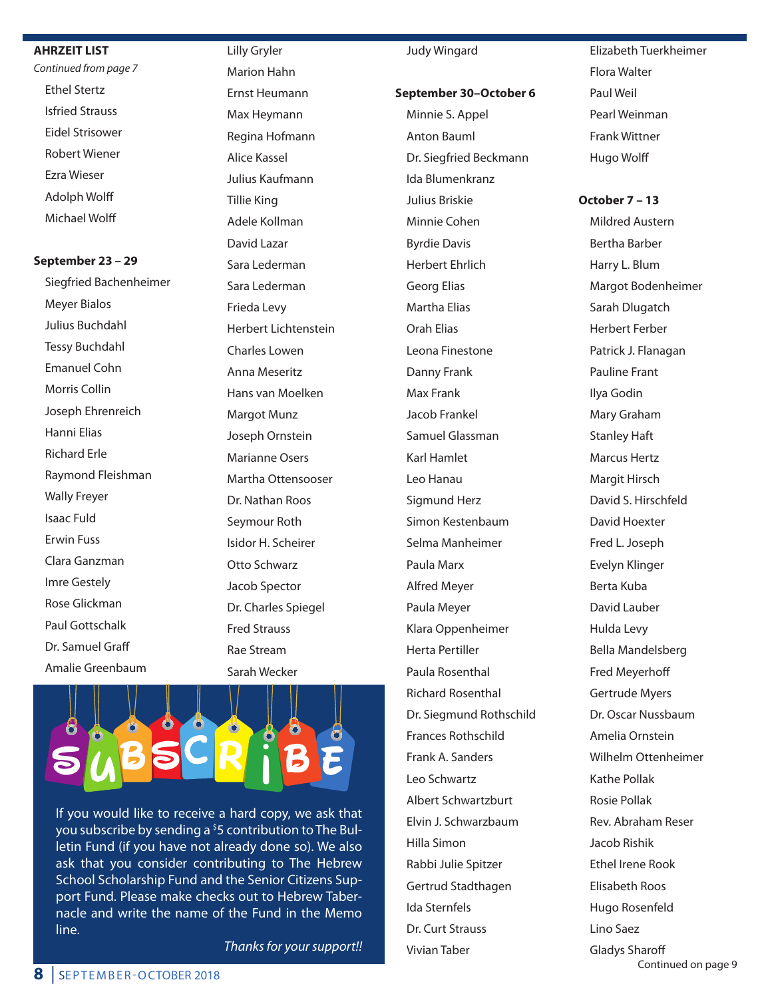#### **AHRZEIT LIST**

*Continued from page 7* Ethel Stertz Isfried Strauss Eidel Strisower Robert Wiener Ezra Wieser Adolph Wolff Michael Wolff

#### **September 23 – 29**

 Siegfried Bachenheimer Meyer Bialos Julius Buchdahl Tessy Buchdahl Emanuel Cohn Morris Collin Joseph Ehrenreich Hanni Elias Richard Erle Raymond Fleishman Wally Freyer Isaac Fuld Erwin Fuss Clara Ganzman Imre Gestely Rose Glickman Paul Gottschalk Dr. Samuel Graff Amalie Greenbaum

 Lilly Gryler Marion Hahn Ernst Heumann Max Heymann Regina Hofmann Alice Kassel Julius Kaufmann Tillie King Adele Kollman David Lazar Sara Lederman Sara Lederman Frieda Levy Herbert Lichtenstein Charles Lowen Anna Meseritz Hans van Moelken Margot Munz Joseph Ornstein Marianne Osers Martha Ottensooser Dr. Nathan Roos Seymour Roth Isidor H. Scheirer Otto Schwarz Jacob Spector Dr. Charles Spiegel Fred Strauss Rae Stream Sarah Wecker



If you would like to receive a hard copy, we ask that you subscribe by sending a <sup>\$</sup>5 contribution to The Bulletin Fund (if you have not already done so). We also ask that you consider contributing to The Hebrew School Scholarship Fund and the Senior Citizens Support Fund. Please make checks out to Hebrew Tabernacle and write the name of the Fund in the Memo line.

*Thanks for your support!!*

#### Judy Wingard

#### **September 30–October 6**

 Minnie S. Appel Anton Bauml Dr. Siegfried Beckmann Ida Blumenkranz Julius Briskie Minnie Cohen Byrdie Davis Herbert Ehrlich Georg Elias Martha Elias Orah Elias Leona Finestone Danny Frank Max Frank Jacob Frankel Samuel Glassman Karl Hamlet Leo Hanau Sigmund Herz Simon Kestenbaum Selma Manheimer Paula Marx Alfred Meyer Paula Meyer Klara Oppenheimer Herta Pertiller Paula Rosenthal Richard Rosenthal Dr. Siegmund Rothschild Frances Rothschild Frank A. Sanders Leo Schwartz Albert Schwartzburt Elvin J. Schwarzbaum Hilla Simon Rabbi Julie Spitzer Gertrud Stadthagen Ida Sternfels Dr. Curt Strauss Vivian Taber

 Elizabeth Tuerkheimer Flora Walter Paul Weil Pearl Weinman Frank Wittner Hugo Wolff

### **October 7 – 13**

 Mildred Austern Bertha Barber Harry L. Blum Margot Bodenheimer Sarah Dlugatch Herbert Ferber Patrick J. Flanagan Pauline Frant Ilya Godin Mary Graham Stanley Haft Marcus Hertz Margit Hirsch David S. Hirschfeld David Hoexter Fred L. Joseph Evelyn Klinger Berta Kuba David Lauber Hulda Levy Bella Mandelsberg Fred Meyerhoff Gertrude Myers Dr. Oscar Nussbaum Amelia Ornstein Wilhelm Ottenheimer Kathe Pollak Rosie Pollak Rev. Abraham Reser Jacob Rishik Ethel Irene Rook Elisabeth Roos Hugo Rosenfeld Lino Saez Gladys Sharoff

Continued on page 9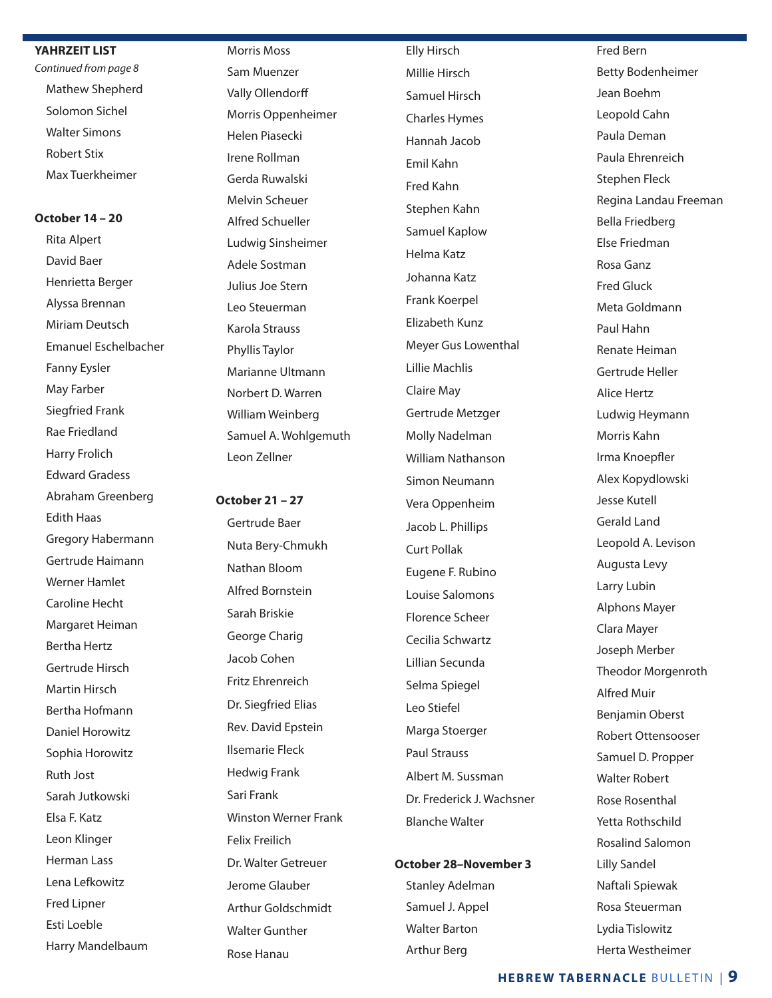#### **YAHRZEIT LIST**

*Continued from page 8* Mathew Shepherd Solomon Sichel Walter Simons Robert Stix Max Tuerkheimer

### **October 14 – 20**

 Rita Alpert David Baer Henrietta Berger Alyssa Brennan Miriam Deutsch Emanuel Eschelbacher Fanny Eysler May Farber Siegfried Frank Rae Friedland Harry Frolich Edward Gradess Abraham Greenberg Edith Haas Gregory Habermann Gertrude Haimann Werner Hamlet Caroline Hecht Margaret Heiman Bertha Hertz Gertrude Hirsch Martin Hirsch Bertha Hofmann Daniel Horowitz Sophia Horowitz Ruth Jost Sarah Jutkowski Elsa F. Katz Leon Klinger Herman Lass Lena Lefkowitz Fred Lipner Esti Loeble Harry Mandelbaum

 Morris Moss Sam Muenzer Vally Ollendorff Morris Oppenheimer Helen Piasecki Irene Rollman Gerda Ruwalski Melvin Scheuer Alfred Schueller Ludwig Sinsheimer Adele Sostman Julius Joe Stern Leo Steuerman Karola Strauss Phyllis Taylor Marianne Ultmann Norbert D. Warren William Weinberg Samuel A. Wohlgemuth Leon Zellner

### **October 21 – 27**

 Gertrude Baer Nuta Bery-Chmukh Nathan Bloom Alfred Bornstein Sarah Briskie George Charig Jacob Cohen Fritz Ehrenreich Dr. Siegfried Elias Rev. David Epstein Ilsemarie Fleck Hedwig Frank Sari Frank Winston Werner Frank Felix Freilich Dr. Walter Getreuer Jerome Glauber Arthur Goldschmidt Walter Gunther Rose Hanau

 Elly Hirsch Millie Hirsch Samuel Hirsch Charles Hymes Hannah Jacob Emil Kahn Fred Kahn Stephen Kahn Samuel Kaplow Helma Katz Johanna Katz Frank Koerpel Elizabeth Kunz Meyer Gus Lowenthal Lillie Machlis Claire May Gertrude Metzger Molly Nadelman William Nathanson Simon Neumann Vera Oppenheim Jacob L. Phillips Curt Pollak Eugene F. Rubino Louise Salomons Florence Scheer Cecilia Schwartz Lillian Secunda Selma Spiegel Leo Stiefel Marga Stoerger Paul Strauss Albert M. Sussman Dr. Frederick J. Wachsner Blanche Walter

### **October 28–November 3**

 Stanley Adelman Samuel J. Appel Walter Barton Arthur Berg

 Fred Bern Betty Bodenheimer Jean Boehm Leopold Cahn Paula Deman Paula Ehrenreich Stephen Fleck Regina Landau Freeman Bella Friedberg Else Friedman Rosa Ganz Fred Gluck Meta Goldmann Paul Hahn Renate Heiman Gertrude Heller Alice Hertz Ludwig Heymann Morris Kahn Irma Knoepfler Alex Kopydlowski Jesse Kutell Gerald Land Leopold A. Levison Augusta Levy Larry Lubin Alphons Mayer Clara Mayer Joseph Merber Theodor Morgenroth Alfred Muir Benjamin Oberst Robert Ottensooser Samuel D. Propper Walter Robert Rose Rosenthal Yetta Rothschild Rosalind Salomon Lilly Sandel Naftali Spiewak Rosa Steuerman Lydia Tislowitz

### **HEBREW TABERNACLE** BULLETIN | **9**

Herta Westheimer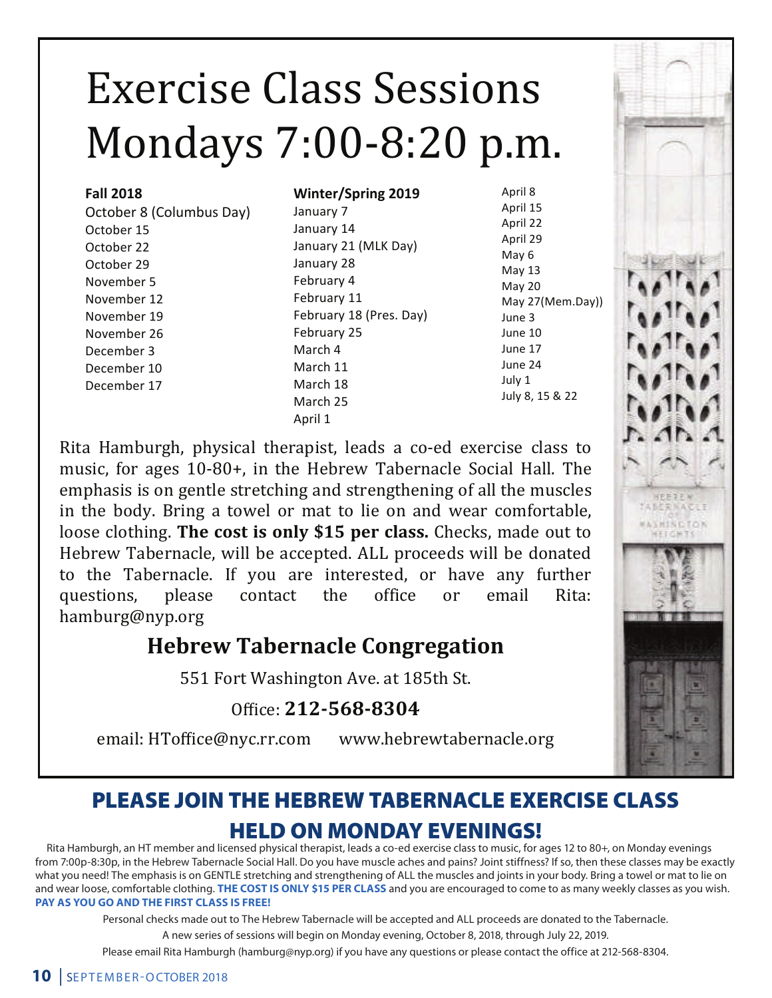# Exercise Class Sessions Mondays 7:00-8:20 p.m.

### **Fall 2018**

October 8 (Columbus Day) October 15 October 22 October 29 November 5 November 12 November 19 November 26 December 3 December 10 December 17

### **Winter/Spring 2019**

January 7 January 14 January 21 (MLK Day) January 28 February 4 February 11 February 18 (Pres. Day) February 25 March 4 March 11 March 18 March 25 April 1

April 8 April 15 April 22 April 29 May 6 May 13 May 20 May 27(Mem.Day)) June 3 June 10 June 17 June 24 July 1 July 8, 15 & 22

Rita Hamburgh, physical therapist, leads a co-ed exercise class to music, for ages 10-80+, in the Hebrew Tabernacle Social Hall. The emphasis is on gentle stretching and strengthening of all the muscles in the body. Bring a towel or mat to lie on and wear comfortable, loose clothing. The cost is only \$15 per class. Checks, made out to Hebrew Tabernacle, will be accepted. ALL proceeds will be donated to the Tabernacle. If you are interested, or have any further questions, please contact the office or email Rita: questions, please contact the office or email Rita:  $\begin{bmatrix} 1 & 1 \\ 0 & 1 \end{bmatrix}$ hamburg@nyp.org

### **Hebrew Tabernacle Congregation**

551 Fort Washington Ave. at 185th St.

Office: **212-568-8304** 

email: HToffice@nyc.rr.com www.hebrewtabernacle.org

### PLEASE JOIN THE HEBREW TABERNACLE EXERCISE CLASS HELD ON MONDAY EVENINGS!

Rita Hamburgh, an HT member and licensed physical therapist, leads a co-ed exercise class to music, for ages 12 to 80+, on Monday evenings from 7:00p-8:30p, in the Hebrew Tabernacle Social Hall. Do you have muscle aches and pains? Joint stiffness? If so, then these classes may be exactly what you need! The emphasis is on GENTLE stretching and strengthening of ALL the muscles and joints in your body. Bring a towel or mat to lie on and wear loose, comfortable clothing. **THE COST IS ONLY \$15 PER CLASS** and you are encouraged to come to as many weekly classes as you wish. **PAY AS YOU GO AND THE FIRST CLASS IS FREE!**

Personal checks made out to The Hebrew Tabernacle will be accepted and ALL proceeds are donated to the Tabernacle.

A new series of sessions will begin on Monday evening, October 8, 2018, through July 22, 2019.

Please email Rita Hamburgh (hamburg@nyp.org) if you have any questions or please contact the office at 212-568-8304.



**IFFITTA LEERSAC MINCION**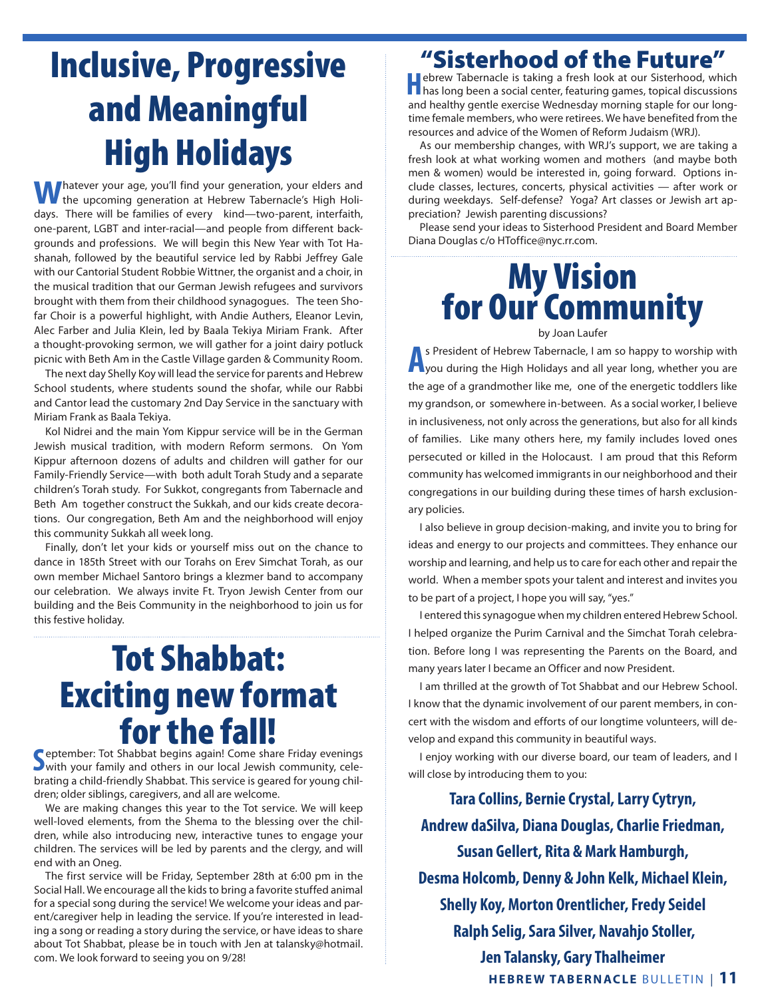# Inclusive, Progressive and Meaningful High Holidays

**W** hatever your age, you'll find your generation, your elders and the upcoming generation at Hebrew Tabernacle's High Holidays. There will be families of every kind—two-parent, interfaith, one-parent, LGBT and inter-racial—and people from different backgrounds and professions. We will begin this New Year with Tot Hashanah, followed by the beautiful service led by Rabbi Jeffrey Gale with our Cantorial Student Robbie Wittner, the organist and a choir, in the musical tradition that our German Jewish refugees and survivors brought with them from their childhood synagogues. The teen Shofar Choir is a powerful highlight, with Andie Authers, Eleanor Levin, Alec Farber and Julia Klein, led by Baala Tekiya Miriam Frank. After a thought-provoking sermon, we will gather for a joint dairy potluck picnic with Beth Am in the Castle Village garden & Community Room.

The next day Shelly Koy will lead the service for parents and Hebrew School students, where students sound the shofar, while our Rabbi and Cantor lead the customary 2nd Day Service in the sanctuary with Miriam Frank as Baala Tekiya.

Kol Nidrei and the main Yom Kippur service will be in the German Jewish musical tradition, with modern Reform sermons. On Yom Kippur afternoon dozens of adults and children will gather for our Family-Friendly Service—with both adult Torah Study and a separate children's Torah study. For Sukkot, congregants from Tabernacle and Beth Am together construct the Sukkah, and our kids create decorations. Our congregation, Beth Am and the neighborhood will enjoy this community Sukkah all week long.

Finally, don't let your kids or yourself miss out on the chance to dance in 185th Street with our Torahs on Erev Simchat Torah, as our own member Michael Santoro brings a klezmer band to accompany our celebration. We always invite Ft. Tryon Jewish Center from our building and the Beis Community in the neighborhood to join us for this festive holiday.

# Tot Shabbat: Exciting new format for the fall!

Supprember: Tot Shabbat begins again! Come share Friday evenings<br>
Swith your family and others in our local Jewish community, celewith your family and others in our local Jewish community, celebrating a child-friendly Shabbat. This service is geared for young children; older siblings, caregivers, and all are welcome.

We are making changes this year to the Tot service. We will keep well-loved elements, from the Shema to the blessing over the children, while also introducing new, interactive tunes to engage your children. The services will be led by parents and the clergy, and will end with an Oneg.

The first service will be Friday, September 28th at 6:00 pm in the Social Hall. We encourage all the kids to bring a favorite stuffed animal for a special song during the service! We welcome your ideas and parent/caregiver help in leading the service. If you're interested in leading a song or reading a story during the service, or have ideas to share about Tot Shabbat, please be in touch with Jen at talansky@hotmail. com. We look forward to seeing you on 9/28!

### "Sisterhood of the Future"

**H**ebrew Tabernacle is taking a fresh look at our Sisterhood, which has long been a social center, featuring games, topical discussions and healthy gentle exercise Wednesday morning staple for our longtime female members, who were retirees. We have benefited from the resources and advice of the Women of Reform Judaism (WRJ).

As our membership changes, with WRJ's support, we are taking a fresh look at what working women and mothers (and maybe both men & women) would be interested in, going forward. Options include classes, lectures, concerts, physical activities — after work or during weekdays. Self-defense? Yoga? Art classes or Jewish art appreciation? Jewish parenting discussions?

Please send your ideas to Sisterhood President and Board Member Diana Douglas c/o HToffice@nyc.rr.com.

# **My Vision<br>for Our Community** by Joan Laufer

**A** S President of Hebrew Tabernacle, I am so happy to worship with you during the High Holidays and all year long, whether you are s President of Hebrew Tabernacle, I am so happy to worship with the age of a grandmother like me, one of the energetic toddlers like my grandson, or somewhere in-between. As a social worker, I believe in inclusiveness, not only across the generations, but also for all kinds of families. Like many others here, my family includes loved ones persecuted or killed in the Holocaust. I am proud that this Reform community has welcomed immigrants in our neighborhood and their congregations in our building during these times of harsh exclusionary policies.

I also believe in group decision-making, and invite you to bring for ideas and energy to our projects and committees. They enhance our worship and learning, and help us to care for each other and repair the world. When a member spots your talent and interest and invites you to be part of a project, I hope you will say, "yes."

I entered this synagogue when my children entered Hebrew School. I helped organize the Purim Carnival and the Simchat Torah celebration. Before long I was representing the Parents on the Board, and many years later I became an Officer and now President.

I am thrilled at the growth of Tot Shabbat and our Hebrew School. I know that the dynamic involvement of our parent members, in concert with the wisdom and efforts of our longtime volunteers, will develop and expand this community in beautiful ways.

I enjoy working with our diverse board, our team of leaders, and I will close by introducing them to you:

**HEBREW TABERNACLE** BULLETIN | **11 Tara Collins, Bernie Crystal, Larry Cytryn, Andrew daSilva, Diana Douglas, Charlie Friedman, Susan Gellert, Rita & Mark Hamburgh, Desma Holcomb, Denny & John Kelk, Michael Klein, Shelly Koy, Morton Orentlicher, Fredy Seidel Ralph Selig, Sara Silver, Navahjo Stoller, Jen Talansky, Gary Thalheimer**